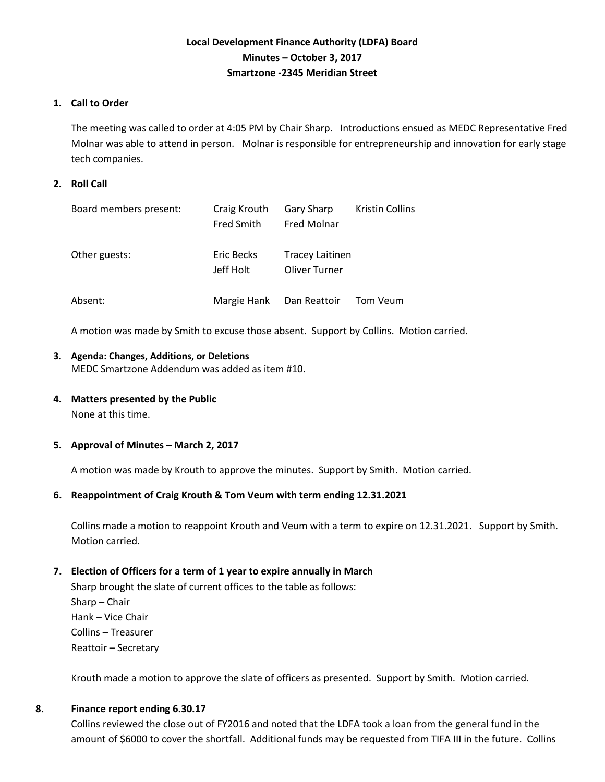# **Local Development Finance Authority (LDFA) Board Minutes – October 3, 2017 Smartzone -2345 Meridian Street**

# **1. Call to Order**

The meeting was called to order at 4:05 PM by Chair Sharp. Introductions ensued as MEDC Representative Fred Molnar was able to attend in person. Molnar is responsible for entrepreneurship and innovation for early stage tech companies.

# **2. Roll Call**

| Board members present: | Craig Krouth      | <b>Gary Sharp</b>      | <b>Kristin Collins</b> |
|------------------------|-------------------|------------------------|------------------------|
|                        | <b>Fred Smith</b> | <b>Fred Molnar</b>     |                        |
|                        |                   |                        |                        |
| Other guests:          | Eric Becks        | <b>Tracey Laitinen</b> |                        |
|                        | Jeff Holt         | Oliver Turner          |                        |
|                        |                   |                        |                        |
| Absent:                | Margie Hank       | Dan Reattoir           | Tom Veum               |

A motion was made by Smith to excuse those absent. Support by Collins. Motion carried.

#### **3. Agenda: Changes, Additions, or Deletions** MEDC Smartzone Addendum was added as item #10.

**4. Matters presented by the Public**

None at this time.

### **5. Approval of Minutes – March 2, 2017**

A motion was made by Krouth to approve the minutes. Support by Smith. Motion carried.

### **6. Reappointment of Craig Krouth & Tom Veum with term ending 12.31.2021**

Collins made a motion to reappoint Krouth and Veum with a term to expire on 12.31.2021. Support by Smith. Motion carried.

### **7. Election of Officers for a term of 1 year to expire annually in March**

Sharp brought the slate of current offices to the table as follows: Sharp – Chair Hank – Vice Chair Collins – Treasurer Reattoir – Secretary

Krouth made a motion to approve the slate of officers as presented. Support by Smith. Motion carried.

### **8. Finance report ending 6.30.17**

Collins reviewed the close out of FY2016 and noted that the LDFA took a loan from the general fund in the amount of \$6000 to cover the shortfall. Additional funds may be requested from TIFA III in the future. Collins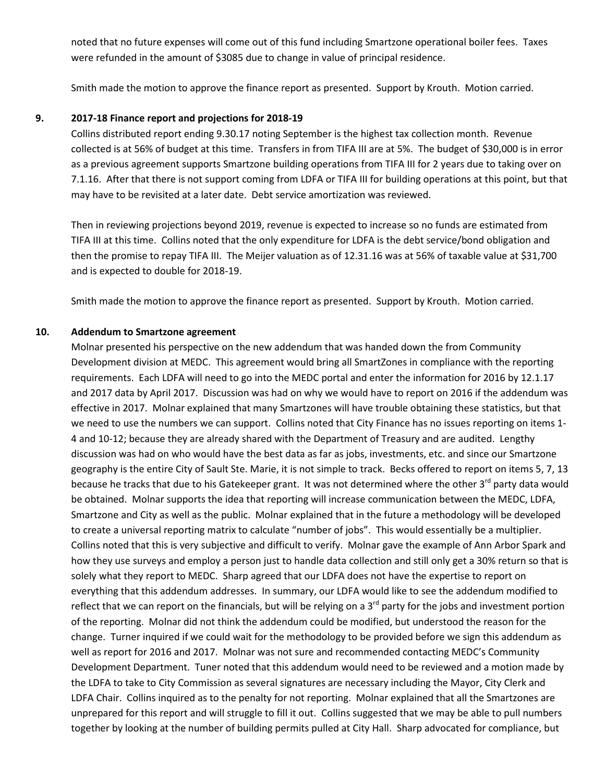noted that no future expenses will come out of this fund including Smartzone operational boiler fees. Taxes were refunded in the amount of \$3085 due to change in value of principal residence.

Smith made the motion to approve the finance report as presented. Support by Krouth. Motion carried.

### **9. 2017-18 Finance report and projections for 2018-19**

Collins distributed report ending 9.30.17 noting September is the highest tax collection month. Revenue collected is at 56% of budget at this time. Transfers in from TIFA III are at 5%. The budget of \$30,000 is in error as a previous agreement supports Smartzone building operations from TIFA III for 2 years due to taking over on 7.1.16. After that there is not support coming from LDFA or TIFA III for building operations at this point, but that may have to be revisited at a later date. Debt service amortization was reviewed.

Then in reviewing projections beyond 2019, revenue is expected to increase so no funds are estimated from TIFA III at this time. Collins noted that the only expenditure for LDFA is the debt service/bond obligation and then the promise to repay TIFA III. The Meijer valuation as of 12.31.16 was at 56% of taxable value at \$31,700 and is expected to double for 2018-19.

Smith made the motion to approve the finance report as presented. Support by Krouth. Motion carried.

#### **10. Addendum to Smartzone agreement**

Molnar presented his perspective on the new addendum that was handed down the from Community Development division at MEDC. This agreement would bring all SmartZones in compliance with the reporting requirements. Each LDFA will need to go into the MEDC portal and enter the information for 2016 by 12.1.17 and 2017 data by April 2017. Discussion was had on why we would have to report on 2016 if the addendum was effective in 2017. Molnar explained that many Smartzones will have trouble obtaining these statistics, but that we need to use the numbers we can support. Collins noted that City Finance has no issues reporting on items 1- 4 and 10-12; because they are already shared with the Department of Treasury and are audited. Lengthy discussion was had on who would have the best data as far as jobs, investments, etc. and since our Smartzone geography is the entire City of Sault Ste. Marie, it is not simple to track. Becks offered to report on items 5, 7, 13 because he tracks that due to his Gatekeeper grant. It was not determined where the other 3<sup>rd</sup> party data would be obtained. Molnar supports the idea that reporting will increase communication between the MEDC, LDFA, Smartzone and City as well as the public. Molnar explained that in the future a methodology will be developed to create a universal reporting matrix to calculate "number of jobs". This would essentially be a multiplier. Collins noted that this is very subjective and difficult to verify. Molnar gave the example of Ann Arbor Spark and how they use surveys and employ a person just to handle data collection and still only get a 30% return so that is solely what they report to MEDC. Sharp agreed that our LDFA does not have the expertise to report on everything that this addendum addresses. In summary, our LDFA would like to see the addendum modified to reflect that we can report on the financials, but will be relying on a  $3<sup>rd</sup>$  party for the jobs and investment portion of the reporting. Molnar did not think the addendum could be modified, but understood the reason for the change. Turner inquired if we could wait for the methodology to be provided before we sign this addendum as well as report for 2016 and 2017. Molnar was not sure and recommended contacting MEDC's Community Development Department. Tuner noted that this addendum would need to be reviewed and a motion made by the LDFA to take to City Commission as several signatures are necessary including the Mayor, City Clerk and LDFA Chair. Collins inquired as to the penalty for not reporting. Molnar explained that all the Smartzones are unprepared for this report and will struggle to fill it out. Collins suggested that we may be able to pull numbers together by looking at the number of building permits pulled at City Hall. Sharp advocated for compliance, but